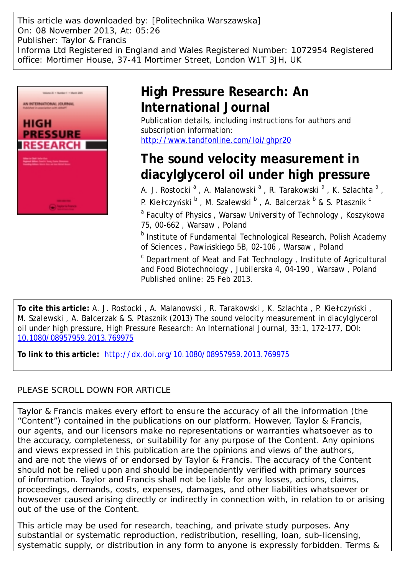This article was downloaded by: [Politechnika Warszawska] On: 08 November 2013, At: 05:26 Publisher: Taylor & Francis Informa Ltd Registered in England and Wales Registered Number: 1072954 Registered office: Mortimer House, 37-41 Mortimer Street, London W1T 3JH, UK



## **High Pressure Research: An International Journal**

Publication details, including instructions for authors and subscription information: <http://www.tandfonline.com/loi/ghpr20>

# **The sound velocity measurement in diacylglycerol oil under high pressure**

A. J. Rostocki<sup>a</sup>, A. Malanowski<sup>a</sup>, R. Tarakowski<sup>a</sup>, K. Szlachta<sup>a</sup>, P. Kiełczyński  $^{\sf b}$  , M. Szalewski  $^{\sf b}$  , A. Balcerzak  $^{\sf b}$  & S. Ptasznik  $^{\sf c}$ <sup>a</sup> Faculty of Physics, Warsaw University of Technology, Koszykowa 75, 00-662 , Warsaw , Poland

**b** Institute of Fundamental Technological Research, Polish Academy of Sciences , Pawińskiego 5B, 02-106 , Warsaw , Poland

<sup>c</sup> Department of Meat and Fat Technology, Institute of Agricultural and Food Biotechnology , Jubilerska 4, 04-190 , Warsaw , Poland Published online: 25 Feb 2013.

**To cite this article:** A. J. Rostocki , A. Malanowski , R. Tarakowski , K. Szlachta , P. Kiełczyński , M. Szalewski , A. Balcerzak & S. Ptasznik (2013) The sound velocity measurement in diacylglycerol oil under high pressure, High Pressure Research: An International Journal, 33:1, 172-177, DOI: [10.1080/08957959.2013.769975](http://www.tandfonline.com/action/showCitFormats?doi=10.1080/08957959.2013.769975)

**To link to this article:** <http://dx.doi.org/10.1080/08957959.2013.769975>

### PLEASE SCROLL DOWN FOR ARTICLE

Taylor & Francis makes every effort to ensure the accuracy of all the information (the "Content") contained in the publications on our platform. However, Taylor & Francis, our agents, and our licensors make no representations or warranties whatsoever as to the accuracy, completeness, or suitability for any purpose of the Content. Any opinions and views expressed in this publication are the opinions and views of the authors, and are not the views of or endorsed by Taylor & Francis. The accuracy of the Content should not be relied upon and should be independently verified with primary sources of information. Taylor and Francis shall not be liable for any losses, actions, claims, proceedings, demands, costs, expenses, damages, and other liabilities whatsoever or howsoever caused arising directly or indirectly in connection with, in relation to or arising out of the use of the Content.

This article may be used for research, teaching, and private study purposes. Any substantial or systematic reproduction, redistribution, reselling, loan, sub-licensing, systematic supply, or distribution in any form to anyone is expressly forbidden. Terms &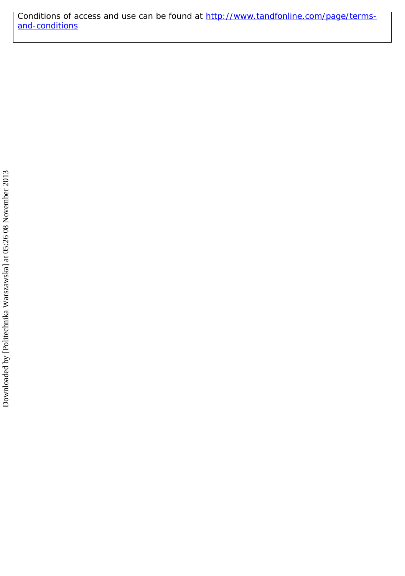Conditions of access and use can be found at [http://www.tandfonline.com/page/terms](http://www.tandfonline.com/page/terms-and-conditions)[and-conditions](http://www.tandfonline.com/page/terms-and-conditions)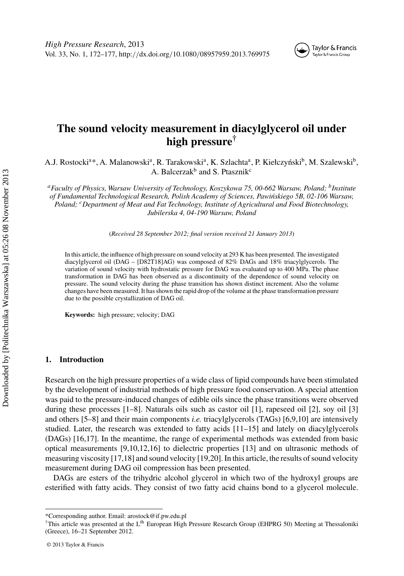### **The sound velocity measurement in diacylglycerol oil under high pressure†**

A.J. Rostocki<sup>a\*</sup>, A. Malanowski<sup>a</sup>, R. Tarakowski<sup>a</sup>, K. Szlachta<sup>a</sup>, P. Kiełczyński<sup>b</sup>, M. Szalewski<sup>b</sup>, A. Balcerzak<sup>b</sup> and S. Ptasznik<sup>c</sup>

*aFaculty of Physics, Warsaw University of Technology, Koszykowa 75, 00-662 Warsaw, Poland; bInstitute of Fundamental Technological Research, Polish Academy of Sciences, Pawi´nskiego 5B, 02-106 Warsaw, Poland; cDepartment of Meat and Fat Technology, Institute of Agricultural and Food Biotechnology, Jubilerska 4, 04-190 Warsaw, Poland*

(*Received 28 September 2012; final version received 21 January 2013*)

In this article, the influence of high pressure on sound velocity at 293 K has been presented. The investigated diacylglycerol oil (DAG – [D82T18]AG) was composed of 82% DAGs and 18% triacylglycerols. The variation of sound velocity with hydrostatic pressure for DAG was evaluated up to 400 MPa. The phase transformation in DAG has been observed as a discontinuity of the dependence of sound velocity on pressure. The sound velocity during the phase transition has shown distinct increment. Also the volume changes have been measured. It has shown the rapid drop of the volume at the phase transformation pressure due to the possible crystallization of DAG oil.

**Keywords:** high pressure; velocity; DAG

#### **1. Introduction**

Research on the high pressure properties of a wide class of lipid compounds have been stimulated by the development of industrial methods of high pressure food conservation. A special attention was paid to the pressure-induced changes of edible oils since the phase transitions were observed during these processes [\[1](#page-6-0)[–8\]](#page-7-0). Naturals oils such as castor oil [\[1\]](#page-6-0), rapeseed oil [\[2\]](#page-6-0), soy oil [\[3\]](#page-6-0) and others [\[5](#page-6-0)[–8](#page-7-0)] and their main components *i.e.* triacylglycerols (TAGs) [\[6](#page-6-0)[,9,10\]](#page-7-0) are intensively studied. Later, the research was extended to fatty acids [\[11–15](#page-7-0)] and lately on diacylglycerols (DAGs) [\[16,17](#page-7-0)]. In the meantime, the range of experimental methods was extended from basic optical measurements [\[9,10,12,16\]](#page-7-0) to dielectric properties [\[13](#page-7-0)] and on ultrasonic methods of measuring viscosity [\[17,18](#page-7-0)] and sound velocity [\[19,20\]](#page-7-0). In this article, the results of sound velocity measurement during DAG oil compression has been presented.

DAGs are esters of the trihydric alcohol glycerol in which two of the hydroxyl groups are esterified with fatty acids. They consist of two fatty acid chains bond to a glycerol molecule.

<sup>\*</sup>Corresponding author. Email: arostock@if.pw.edu.pl

<sup>&</sup>lt;sup>†</sup>This article was presented at the L<sup>th</sup> European High Pressure Research Group (EHPRG 50) Meeting at Thessaloniki (Greece), 16–21 September 2012.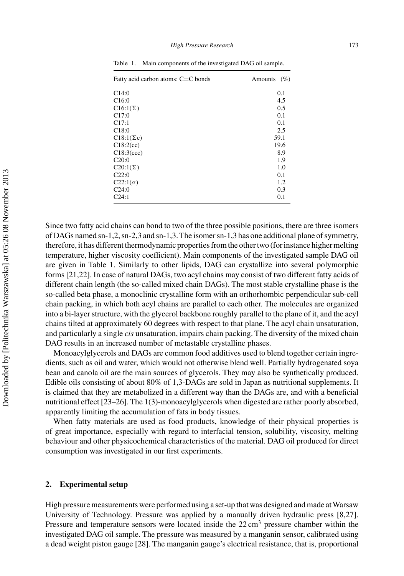| Fatty acid carbon atoms: C=C bonds | Amounts $(\% )$ |
|------------------------------------|-----------------|
| C14:0                              | 0.1             |
| C16:0                              | 4.5             |
| $C16:1(\Sigma)$                    | 0.5             |
| C17:0                              | 0.1             |
| C17:1                              | 0.1             |
| C18:0                              | 2.5             |
| $C18:1(\Sigma c)$                  | 59.1            |
| C18:2(cc)                          | 19.6            |
| C18:3(ccc)                         | 8.9             |
| C20:0                              | 1.9             |
| $C20:1(\Sigma)$                    | 1.0             |
| C22:0                              | 0.1             |
| $C22:1(\sigma)$                    | 1.2             |
| C24:0                              | 0.3             |
| C24:1                              | 0.1             |

<span id="page-3-0"></span>Table 1. Main components of the investigated DAG oil sample.

Since two fatty acid chains can bond to two of the three possible positions, there are three isomers of DAGs named sn-1,2, sn-2,3 and sn-1,3. The isomer sn-1,3 has one additional plane of symmetry, therefore, it has different thermodynamic properties from the other two (for instance higher melting temperature, higher viscosity coefficient). Main components of the investigated sample DAG oil are given in Table 1. Similarly to other lipids, DAG can crystallize into several polymorphic forms [\[21,22\]](#page-7-0). In case of natural DAGs, two acyl chains may consist of two different fatty acids of different chain length (the so-called mixed chain DAGs). The most stable crystalline phase is the so-called beta phase, a monoclinic crystalline form with an orthorhombic perpendicular sub-cell chain packing, in which both acyl chains are parallel to each other. The molecules are organized into a bi-layer structure, with the glycerol backbone roughly parallel to the plane of it, and the acyl chains tilted at approximately 60 degrees with respect to that plane. The acyl chain unsaturation, and particularly a single *cis* unsaturation, impairs chain packing. The diversity of the mixed chain DAG results in an increased number of metastable crystalline phases.

Monoacylglycerols and DAGs are common food additives used to blend together certain ingredients, such as oil and water, which would not otherwise blend well. Partially hydrogenated soya bean and canola oil are the main sources of glycerols. They may also be synthetically produced. Edible oils consisting of about 80% of 1,3-DAGs are sold in Japan as nutritional supplements. It is claimed that they are metabolized in a different way than the DAGs are, and with a beneficial nutritional effect [\[23–26\]](#page-7-0). The 1(3)-monoacylglycerols when digested are rather poorly absorbed, apparently limiting the accumulation of fats in body tissues.

When fatty materials are used as food products, knowledge of their physical properties is of great importance, especially with regard to interfacial tension, solubility, viscosity, melting behaviour and other physicochemical characteristics of the material. DAG oil produced for direct consumption was investigated in our first experiments.

#### **2. Experimental setup**

High pressure measurements were performed using a set-up that was designed and made at Warsaw University of Technology. Pressure was applied by a manually driven hydraulic press [\[8,27](#page-7-0)]. Pressure and temperature sensors were located inside the  $22 \text{ cm}^3$  pressure chamber within the investigated DAG oil sample. The pressure was measured by a manganin sensor, calibrated using a dead weight piston gauge [\[28](#page-7-0)]. The manganin gauge's electrical resistance, that is, proportional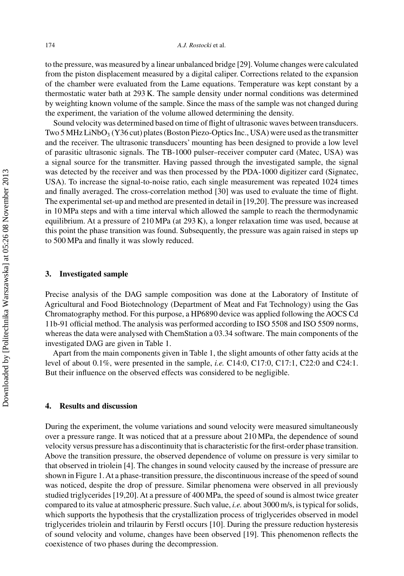to the pressure, was measured by a linear unbalanced bridge [\[29\]](#page-7-0). Volume changes were calculated from the piston displacement measured by a digital caliper. Corrections related to the expansion of the chamber were evaluated from the Lame equations. Temperature was kept constant by a thermostatic water bath at 293 K. The sample density under normal conditions was determined by weighting known volume of the sample. Since the mass of the sample was not changed during the experiment, the variation of the volume allowed determining the density.

Sound velocity was determined based on time of flight of ultrasonic waves between transducers. Two 5 MHz LiNbO<sub>3</sub> (Y36 cut) plates (Boston Piezo-Optics Inc., USA) were used as the transmitter and the receiver. The ultrasonic transducers' mounting has been designed to provide a low level of parasitic ultrasonic signals. The TB-1000 pulser–receiver computer card (Matec, USA) was a signal source for the transmitter. Having passed through the investigated sample, the signal was detected by the receiver and was then processed by the PDA-1000 digitizer card (Signatec, USA). To increase the signal-to-noise ratio, each single measurement was repeated 1024 times and finally averaged. The cross-correlation method [\[30\]](#page-7-0) was used to evaluate the time of flight. The experimental set-up and method are presented in detail in [\[19,20](#page-7-0)]. The pressure was increased in 10 MPa steps and with a time interval which allowed the sample to reach the thermodynamic equilibrium. At a pressure of 210 MPa (at 293 K), a longer relaxation time was used, because at this point the phase transition was found. Subsequently, the pressure was again raised in steps up to 500 MPa and finally it was slowly reduced.

#### **3. Investigated sample**

Precise analysis of the DAG sample composition was done at the Laboratory of Institute of Agricultural and Food Biotechnology (Department of Meat and Fat Technology) using the Gas Chromatography method. For this purpose, a HP6890 device was applied following the AOCS Cd 11b-91 official method. The analysis was performed according to ISO 5508 and ISO 5509 norms, whereas the data were analysed with ChemStation a 03.34 software. The main components of the investigated DAG are given in Table [1.](#page-3-0)

Apart from the main components given in Table [1,](#page-3-0) the slight amounts of other fatty acids at the level of about 0.1%, were presented in the sample, *i.e.* C14:0, C17:0, C17:1, C22:0 and C24:1. But their influence on the observed effects was considered to be negligible.

#### **4. Results and discussion**

During the experiment, the volume variations and sound velocity were measured simultaneously over a pressure range. It was noticed that at a pressure about 210 MPa, the dependence of sound velocity versus pressure has a discontinuity that is characteristic for the first-order phase transition. Above the transition pressure, the observed dependence of volume on pressure is very similar to that observed in triolein [\[4\]](#page-6-0). The changes in sound velocity caused by the increase of pressure are shown in Figure [1.](#page-5-0) At a phase-transition pressure, the discontinuous increase of the speed of sound was noticed, despite the drop of pressure. Similar phenomena were observed in all previously studied triglycerides [\[19,20\]](#page-7-0). At a pressure of 400 MPa, the speed of sound is almost twice greater compared to its value at atmospheric pressure. Such value, *i.e.* about 3000 m/s, is typical for solids, which supports the hypothesis that the crystallization process of triglycerides observed in model triglycerides triolein and trilaurin by Ferstl occurs [\[10](#page-7-0)]. During the pressure reduction hysteresis of sound velocity and volume, changes have been observed [\[19](#page-7-0)]. This phenomenon reflects the coexistence of two phases during the decompression.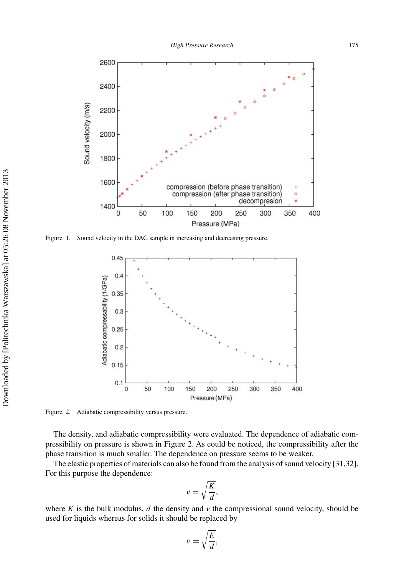<span id="page-5-0"></span>

Figure 1. Sound velocity in the DAG sample in increasing and decreasing pressure.



Figure 2. Adiabatic compressibility versus pressure.

The density, and adiabatic compressibility were evaluated. The dependence of adiabatic compressibility on pressure is shown in Figure 2. As could be noticed, the compressibility after the phase transition is much smaller. The dependence on pressure seems to be weaker.

The elastic properties of materials can also be found from the analysis of sound velocity [\[31,32](#page-7-0)]. For this purpose the dependence:

$$
v = \sqrt{\frac{K}{d}},
$$

where  $K$  is the bulk modulus,  $d$  the density and  $\nu$  the compressional sound velocity, should be used for liquids whereas for solids it should be replaced by

$$
v = \sqrt{\frac{E}{d}},
$$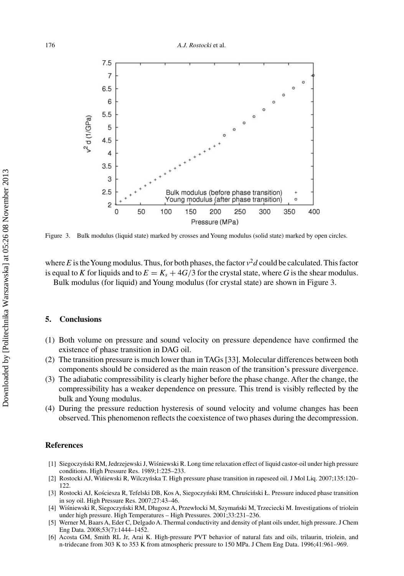<span id="page-6-0"></span>

Figure 3. Bulk modulus (liquid state) marked by crosses and Young modulus (solid state) marked by open circles.

where *E* is the Young modulus. Thus, for both phases, the factor  $v^2d$  could be calculated. This factor is equal to *K* for liquids and to  $E = K_s + 4G/3$  for the crystal state, where *G* is the shear modulus. Bulk modulus (for liquid) and Young modulus (for crystal state) are shown in Figure 3.

#### **5. Conclusions**

- (1) Both volume on pressure and sound velocity on pressure dependence have confirmed the existence of phase transition in DAG oil.
- (2) The transition pressure is much lower than in TAGs [\[33](#page-7-0)]. Molecular differences between both components should be considered as the main reason of the transition's pressure divergence.
- (3) The adiabatic compressibility is clearly higher before the phase change. After the change, the compressibility has a weaker dependence on pressure. This trend is visibly reflected by the bulk and Young modulus.
- (4) During the pressure reduction hysteresis of sound velocity and volume changes has been observed. This phenomenon reflects the coexistence of two phases during the decompression.

#### **References**

- [1] Siegoczyński RM, Jedrzejewski J, Wiśniewski R. Long time relaxation effect of liquid castor-oil under high pressure conditions. High Pressure Res. 1989;1:225–233.
- [2] Rostocki AJ, Wińiewski R, Wilczyńska T. High pressure phase transition in rapeseed oil. J Mol Liq. 2007;135:120– 122.
- [3] Rostocki AJ, Kościesza R, Tefelski DB, Kos A, Siegoczyński RM, Chruściński Ł. Pressure induced phase transition in soy oil. High Pressure Res. 2007;27:43–46.
- [4] Wiśniewski R, Siegoczyński RM, Długosz A, Przewłocki M, Szymański M, Trzeciecki M. Investigations of triolein under high pressure. High Temperatures – High Pressures. 2001;33:231–236.
- [5] Werner M, Baars A, Eder C, Delgado A. Thermal conductivity and density of plant oils under, high pressure. J Chem Eng Data. 2008;53(7):1444–1452.
- [6] Acosta GM, Smith RL Jr, Arai K. High-pressure PVT behavior of natural fats and oils, trilaurin, triolein, and n-tridecane from 303 K to 353 K from atmospheric pressure to 150 MPa. J Chem Eng Data. 1996;41:961–969.